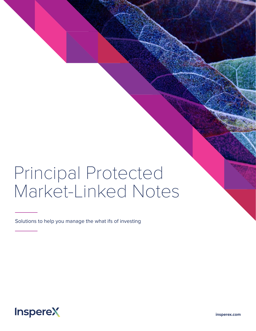# Principal Protected Market-Linked Notes

Solutions to help you manage the what ifs of investing

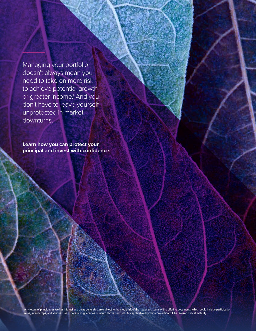Managing your portfolio doesn't always mean you need to take on more risk to achieve potential growth or greater income.<sup>1</sup> And you don't have to leave yourself unprotected in market downturns.

**Learn how you can protect your principal and invest with confidence.**<sup>1</sup>

1 Any return of principal, as well as interest and gains generated are subject to the credit risk of the issuer and terms of the offering documents, which could include participation rates, interim caps, and various risks.. There is no guarantee of return above principal. Any applicable downside protection will be realized only at maturity.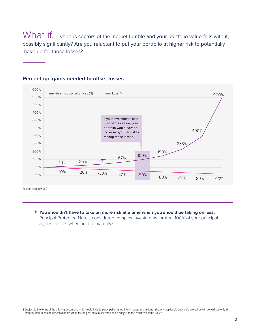What if... various sectors of the market tumble and your portfolio value falls with it, possibly significantly? Are you reluctant to put your portfolio at higher risk to potentially make up for those losses?



#### **Percentage gains needed to offset losses**

Source: InspereX LLC

**You shouldn't have to take on more risk at a time when you should be taking on less.**  Principal Protected Notes, considered complex investments, protect 100% of your principal against losses when held to maturity.<sup>2</sup>

2 Subject to the terms of the offering document, which could include participation rates, interim caps, and various risks. Any applicable downside protection will be realized only at maturity. Return at maturity could be less than the original amount invested and is subject to the credit risk of the issuer.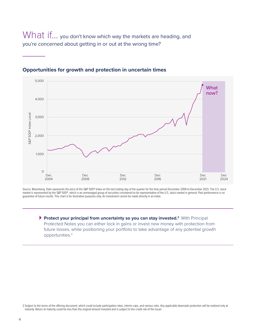What if... you don't know which way the markets are heading, and you're concerned about getting in or out at the wrong time?



#### **Opportunities for growth and protection in uncertain times**

Source: Bloomberg. Data represents the price of the S&P 500® Index on the last trading day of the quarter for the time period December 2004 to December 2021. The U.S. stock market is represented by the S&P 500®, which is an unmanaged group of securities considered to be representative of the U.S. stock market in general. Past performance is no guarantee of future results. This chart is for illustrative purposes only. An investment cannot be made directly in an index.

**Protect your principal from uncertainty so you can stay invested.2** With Principal Protected Notes you can either lock in gains or invest new money with protection from future losses, while positioning your portfolio to take advantage of any potential growth opportunities.2

2 Subject to the terms of the offering document, which could include participation rates, interim caps, and various risks. Any applicable downside protection will be realized only at maturity. Return at maturity could be less than the original amount invested and is subject to the credit risk of the issuer.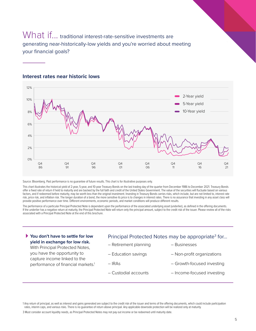### What if... traditional interest-rate-sensitive investments are generating near-historically-low yields and you're worried about meeting your financial goals?



#### **Interest rates near historic lows**

Source: Bloomberg. Past performance is no guarantee of future results. This chart is for illustrative purposes only.

This chart illustrates the historical yield of 2-year, 5-year, and 10-year Treasury Bonds on the last trading day of the quarter from December 1986 to December 2021. Treasury Bonds offer a fixed rate of return if held to maturity and are backed by the full faith and credit of the United States Government. The value of the securities will fluctuate based on various factors, and if redeemed before maturity, may be worth less than the original investment. Investing in Treasury Bonds carries risks, which include, but are not limited to, interest rate risk, price risk, and inflation risk. The longer duration of a bond, the more sensitive its price is to changes in interest rates. There is no assurance that investing in any asset class will provide positive performance over time. Different environments, economic periods, and market conditions will produce different results.

The performance of a particular Principal Protected Note is dependent upon the performance of the associated underlying asset (underlier), as defined in the offering documents. If the underlier has a negative return at maturity, the Principal Protected Note will return only the principal amount, subject to the credit risk of the issuer. Please review all of the risks associated with a Principal Protected Note at the end of this brochure.

#### **You don't have to settle for low yield in exchange for low risk.**

With Principal Protected Notes, you have the opportunity to capture income linked to the performance of financial markets.<sup>1</sup>

#### Principal Protected Notes may be appropriate<sup>3</sup> for...

- Retirement planning
- Education savings
- IRAs
- Custodial accounts
- Non-profit organizations

– Businesses

- Growth-focused investing
- Income-focused investing

1 Any return of principal, as well as interest and gains generated are subject to the credit risk of the issuer and terms of the offering documents, which could include participation rates, interim caps, and various risks. There is no guarantee of return above principal. Any applicable downside protection will be realized only at maturity.

3 Must consider account liquidity needs, as Principal Protected Notes may not pay out income or be redeemed until maturity date.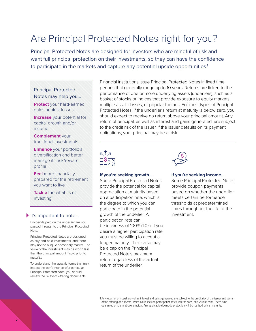## Are Principal Protected Notes right for you?

Principal Protected Notes are designed for investors who are mindful of risk and want full principal protection on their investments, so they can have the confidence to participate in the markets and capture any potential upside opportunities.<sup>1</sup>

#### Principal Protected Notes may help you…

**Protect** your hard-earned gains against losses<sup>1</sup>

**Increase** your potential for capital growth and/or income1

**Complement** your traditional investments

**Enhance** your portfolio's diversification and better manage its risk/reward profile

**Feel** more financially prepared for the retirement you want to live

**Tackle** the what ifs of investing!

#### It's important to note...

Dividends paid on the underlier are not passed through to the Principal Protected Note.

Principal Protected Notes are designed as buy-and-hold investments, and there may not be a liquid secondary market. The value of the investment may be worth less than the principal amount if sold prior to maturity.

To understand the specific terms that may impact the performance of a particular Principal Protected Note, you should review the relevant offering documents.

Financial institutions issue Principal Protected Notes in fixed time periods that generally range up to 10 years. Returns are linked to the performance of one or more underlying assets (underliers), such as a basket of stocks or indices that provide exposure to equity markets, multiple asset classes, or popular themes. For most types of Principal Protected Notes, if the underlier's return at maturity is below zero, you should expect to receive no return above your principal amount. Any return of principal, as well as interest and gains generated, are subject to the credit risk of the issuer. If the issuer defaults on its payment obligations, your principal may be at risk.



#### **If you're seeking growth…**

Some Principal Protected Notes provide the potential for capital appreciation at maturity based on a participation rate, which is the degree to which you can participate in the potential growth of the underlier. A participation rate can be in excess of 100% (1.0x). If you desire a higher participation rate, you must be willing to accept a longer maturity. There also may be a cap on the Principal Protected Note's maximum return regardless of the actual return of the underlier.



#### **If you're seeking income…**

Some Principal Protected Notes provide coupon payments based on whether the underlier meets certain performance thresholds at predetermined times throughout the life of the investment.

1 Any return of principal, as well as interest and gains generated are subject to the credit risk of the issuer and terms of the offering documents, which could include participation rates, interim caps, and various risks. There is no guarantee of return above principal. Any applicable downside protection will be realized only at maturity.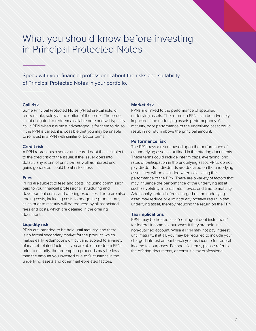### What you should know before investing in Principal Protected Notes

Speak with your financial professional about the risks and suitability of Principal Protected Notes in your portfolio.

#### **Call risk**

Some Principal Protected Notes (PPNs) are callable, or redeemable, solely at the option of the issuer. The issuer is not obligated to redeem a callable note and will typically call a PPN when it is most advantageous for them to do so. If the PPN is called, it is possible that you may be unable to reinvest in a PPN with similar or better terms.

#### **Credit risk**

A PPN represents a senior unsecured debt that is subject to the credit risk of the issuer. If the issuer goes into default, any return of principal, as well as interest and gains generated, could be at risk of loss.

#### **Fees**

PPNs are subject to fees and costs, including commission paid to your financial professional, structuring and development costs, and offering expenses. There are also trading costs, including costs to hedge the product. Any sales prior to maturity will be reduced by all associated fees and costs, which are detailed in the offering documents.

#### **Liquidity risk**

PPNs are intended to be held until maturity, and there is no formal secondary market for the product, which makes early redemptions difficult and subject to a variety of market-related factors. If you are able to redeem PPNs prior to maturity, the redemption proceeds may be less than the amount you invested due to fluctuations in the underlying assets and other market-related factors.

#### **Market risk**

PPNs are linked to the performance of specified underlying assets. The return on PPNs can be adversely impacted if the underlying assets perform poorly. At maturity, poor performance of the underlying asset could result in no return above the principal amount.

#### **Performance risk**

The PPN pays a return based upon the performance of an underlying asset as outlined in the offering documents. These terms could include interim caps, averaging, and rates of participation in the underlying asset. PPNs do not pay dividends. If dividends are declared on the underlying asset, they will be excluded when calculating the performance of the PPN. There are a variety of factors that may influence the performance of the underlying asset such as volatility, interest rate moves, and time to maturity. Additionally, potential fees charged on the underlying asset may reduce or eliminate any positive return in that underlying asset, thereby reducing the return on the PPN.

#### **Tax implications**

PPNs may be treated as a "contingent debt instrument" for federal income tax purposes if they are held in a non-qualified account. While a PPN may not pay interest until maturity, if at all, you may be required to include your charged interest amount each year as income for federal income tax purposes. For specific terms, please refer to the offering documents, or consult a tax professional.